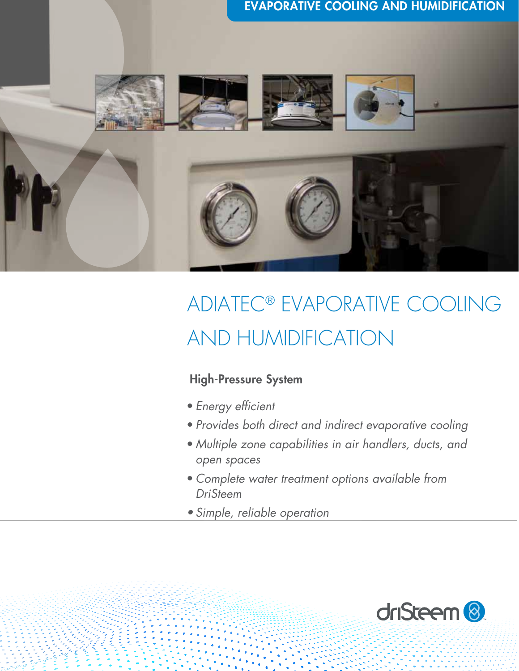

# ADIATEC® EVAPORATIVE COOLING AND HUMIDIFICATION

### High-Pressure System

- *Energy efficient*
- *Provides both direct and indirect evaporative cooling*
- *Multiple zone capabilities in air handlers, ducts, and open spaces*
- *Complete water treatment options available from DriSteem*
- *• Simple, reliable operation*

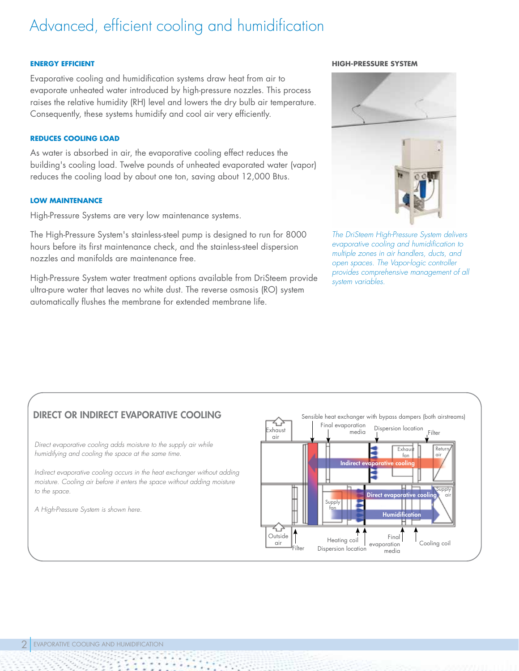## Advanced, efficient cooling and humidification

#### **ENERGY EFFICIENT**

Evaporative cooling and humidification systems draw heat from air to evaporate unheated water introduced by high-pressure nozzles. This process raises the relative humidity (RH) level and lowers the dry bulb air temperature. Consequently, these systems humidify and cool air very efficiently.

### **REDUCES COOLING LOAD**

As water is absorbed in air, the evaporative cooling effect reduces the building's cooling load. Twelve pounds of unheated evaporated water (vapor) reduces the cooling load by about one ton, saving about 12,000 Btus.

### **LOW MAINTENANCE**

High-Pressure Systems are very low maintenance systems.

The High-Pressure System's stainless-steel pump is designed to run for 8000 hours before its first maintenance check, and the stainless-steel dispersion nozzles and manifolds are maintenance free.

High-Pressure System water treatment options available from DriSteem provide ultra-pure water that leaves no white dust. The reverse osmosis (RO) system automatically flushes the membrane for extended membrane life.

#### **HIGH-PRESSURE SYSTEM**



*The DriSteem High-Pressure System delivers evaporative cooling and humidification to multiple zones in air handlers, ducts, and open spaces. The Vapor-logic controller provides comprehensive management of all system variables.*

### DIRECT OR INDIRECT EVAPORATIVE COOLING

*Direct evaporative cooling adds moisture to the supply air while humidifying and cooling the space at the same time.*

*Indirect evaporative cooling occurs in the heat exchanger without adding moisture. Cooling air before it enters the space without adding moisture to the space.*

*A High-Pressure System is shown here.* 

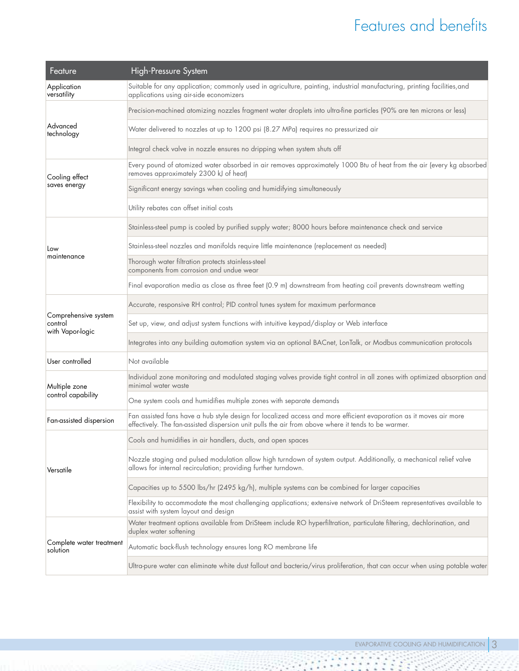## Features and benefits

| Feature                                             | High-Pressure System                                                                                                                                                                                                      |  |  |  |  |  |  |  |
|-----------------------------------------------------|---------------------------------------------------------------------------------------------------------------------------------------------------------------------------------------------------------------------------|--|--|--|--|--|--|--|
| Application<br>versatility                          | Suitable for any application; commonly used in agriculture, painting, industrial manufacturing, printing facilities, and<br>applications using air-side economizers                                                       |  |  |  |  |  |  |  |
| Advanced<br>technology                              | Precision-machined atomizing nozzles fragment water droplets into ultra-fine particles (90% are ten microns or less)                                                                                                      |  |  |  |  |  |  |  |
|                                                     | Water delivered to nozzles at up to 1200 psi (8.27 MPa) requires no pressurized air                                                                                                                                       |  |  |  |  |  |  |  |
|                                                     | Integral check valve in nozzle ensures no dripping when system shuts off                                                                                                                                                  |  |  |  |  |  |  |  |
| Cooling effect                                      | Every pound of atomized water absorbed in air removes approximately 1000 Btu of heat from the air (every kg absorbed<br>removes approximately 2300 kJ of heat)                                                            |  |  |  |  |  |  |  |
| saves energy                                        | Significant energy savings when cooling and humidifying simultaneously                                                                                                                                                    |  |  |  |  |  |  |  |
|                                                     | Utility rebates can offset initial costs                                                                                                                                                                                  |  |  |  |  |  |  |  |
|                                                     | Stainless-steel pump is cooled by purified supply water; 8000 hours before maintenance check and service                                                                                                                  |  |  |  |  |  |  |  |
| Low                                                 | Stainless-steel nozzles and manifolds require little maintenance (replacement as needed)                                                                                                                                  |  |  |  |  |  |  |  |
| maintenance                                         | Thorough water filtration protects stainless-steel<br>components from corrosion and undue wear                                                                                                                            |  |  |  |  |  |  |  |
|                                                     | Final evaporation media as close as three feet (0.9 m) downstream from heating coil prevents downstream wetting                                                                                                           |  |  |  |  |  |  |  |
|                                                     | Accurate, responsive RH control; PID control tunes system for maximum performance                                                                                                                                         |  |  |  |  |  |  |  |
| Comprehensive system<br>control<br>with Vapor-logic | Set up, view, and adjust system functions with intuitive keypad/display or Web interface                                                                                                                                  |  |  |  |  |  |  |  |
|                                                     | Integrates into any building automation system via an optional BACnet, LonTalk, or Modbus communication protocols                                                                                                         |  |  |  |  |  |  |  |
| User controlled                                     | Not available                                                                                                                                                                                                             |  |  |  |  |  |  |  |
| Multiple zone                                       | Individual zone monitoring and modulated staging valves provide tight control in all zones with optimized absorption and<br>minimal water waste                                                                           |  |  |  |  |  |  |  |
| control capability                                  | One system cools and humidifies multiple zones with separate demands                                                                                                                                                      |  |  |  |  |  |  |  |
| Fan-assisted dispersion                             | Fan assisted fans have a hub style design for localized access and more efficient evaporation as it moves air more<br>effectively. The fan-assisted dispersion unit pulls the air from above where it tends to be warmer. |  |  |  |  |  |  |  |
| Versatile                                           | Cools and humidifies in air handlers, ducts, and open spaces                                                                                                                                                              |  |  |  |  |  |  |  |
|                                                     | Nozzle staging and pulsed modulation allow high turndown of system output. Additionally, a mechanical relief valve<br>allows for internal recirculation; providing further turndown.                                      |  |  |  |  |  |  |  |
|                                                     | Capacities up to 5500 lbs/hr (2495 kg/h), multiple systems can be combined for larger capacities                                                                                                                          |  |  |  |  |  |  |  |
|                                                     | Flexibility to accommodate the most challenging applications; extensive network of DriSteem representatives available to<br>assist with system layout and design                                                          |  |  |  |  |  |  |  |
| Complete water treatment<br>solution                | Water treatment options available from DriSteem include RO hyperfiltration, particulate filtering, dechlorination, and<br>duplex water softening                                                                          |  |  |  |  |  |  |  |
|                                                     | Automatic back-flush technology ensures long RO membrane life                                                                                                                                                             |  |  |  |  |  |  |  |
|                                                     | Ultra-pure water can eliminate white dust fallout and bacteria/virus proliferation, that can occur when using potable water                                                                                               |  |  |  |  |  |  |  |

2 -

88 5

1994

t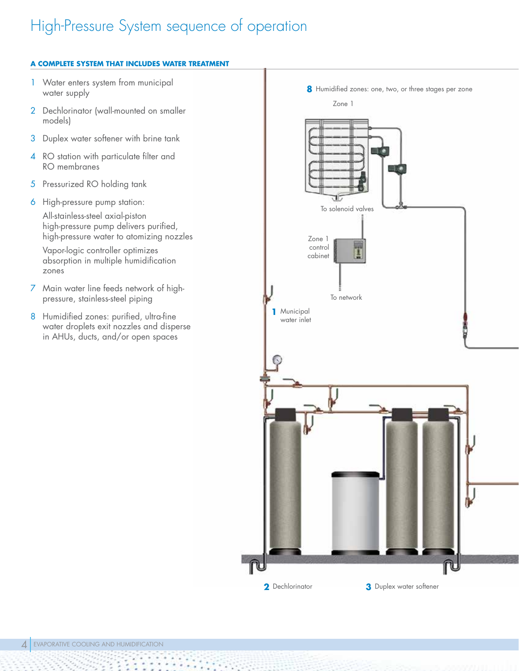## High-Pressure System sequence of operation

### **A COMPLETE SYSTEM THAT INCLUDES WATER TREATMENT**

- 1 Water enters system from municipal water supply
- 2 Dechlorinator (wall-mounted on smaller models)
- 3 Duplex water softener with brine tank
- 4 RO station with particulate filter and RO membranes
- 5 Pressurized RO holding tank
- 6 High-pressure pump station:

All-stainless-steel axial-piston high-pressure pump delivers purified, high-pressure water to atomizing nozzles

Vapor-logic controller optimizes absorption in multiple humidification zones

- 7 Main water line feeds network of highpressure, stainless-steel piping
- 8 Humidified zones: purified, ultra-fine water droplets exit nozzles and disperse in AHUs, ducts, and/or open spaces

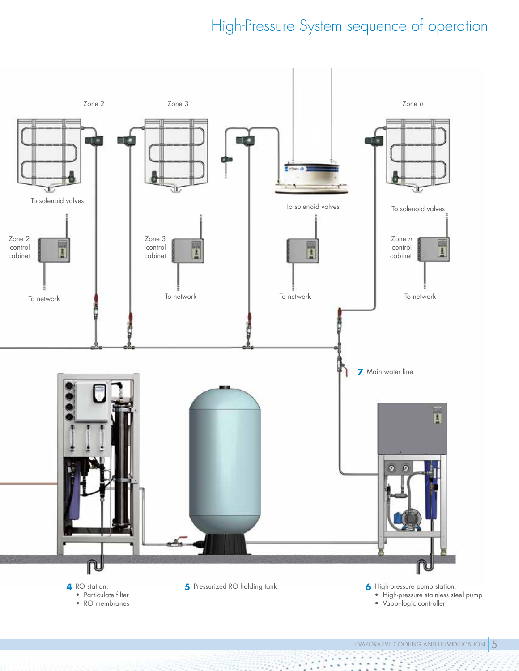## High-Pressure System sequence of operation

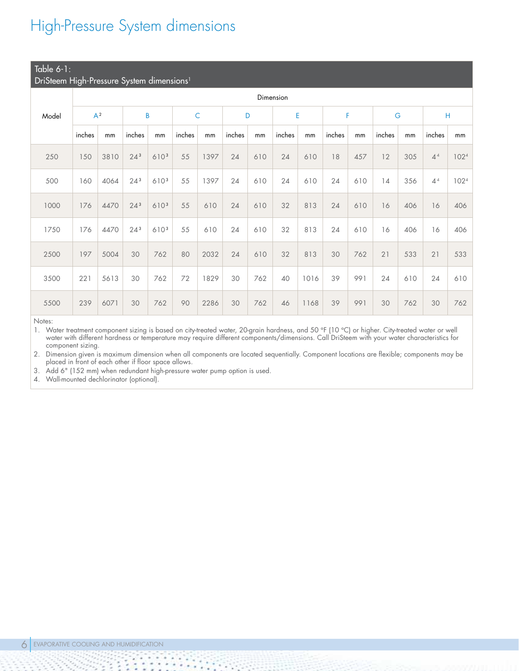## High-Pressure System dimensions

### $\overline{\phantom{a}}$  Table 6-1

| DriSteem High-Pressure System dimensions <sup>1</sup> |           |      |                 |      |             |      |        |     |        |      |        |     |        |     |                |      |
|-------------------------------------------------------|-----------|------|-----------------|------|-------------|------|--------|-----|--------|------|--------|-----|--------|-----|----------------|------|
|                                                       | Dimension |      |                 |      |             |      |        |     |        |      |        |     |        |     |                |      |
| Model                                                 | $A^2$     |      | B               |      | $\mathsf C$ |      | D      |     | E      |      | F      |     | G      |     | Н              |      |
|                                                       | inches    | mm   | inches          | mm   | inches      | mm   | inches | mm  | inches | mm   | inches | mm  | inches | mm  | inches         | mm   |
| 250                                                   | 150       | 3810 | $24^{3}$        | 6103 | 55          | 1397 | 24     | 610 | 24     | 610  | 18     | 457 | 12     | 305 | 4 <sup>4</sup> | 1024 |
| 500                                                   | 160       | 4064 | 24 <sup>3</sup> | 6103 | 55          | 1397 | 24     | 610 | 24     | 610  | 24     | 610 | 14     | 356 | 4 <sup>4</sup> | 1024 |
| 1000                                                  | 176       | 4470 | $24^{3}$        | 6103 | 55          | 610  | 24     | 610 | 32     | 813  | 24     | 610 | 16     | 406 | 16             | 406  |
| 1750                                                  | 176       | 4470 | 24 <sup>3</sup> | 6103 | 55          | 610  | 24     | 610 | 32     | 813  | 24     | 610 | 16     | 406 | 16             | 406  |
| 2500                                                  | 197       | 5004 | 30              | 762  | 80          | 2032 | 24     | 610 | 32     | 813  | 30     | 762 | 21     | 533 | 21             | 533  |
| 3500                                                  | 221       | 5613 | 30              | 762  | 72          | 1829 | 30     | 762 | 40     | 1016 | 39     | 991 | 24     | 610 | 24             | 610  |
| 5500                                                  | 239       | 6071 | 30              | 762  | 90          | 2286 | 30     | 762 | 46     | 1168 | 39     | 991 | 30     | 762 | 30             | 762  |

Notes:

1. Water treatment component sizing is based on city-treated water, 20-grain hardness, and 50 °F (10 °C) or higher. City-treated water or well water with different hardness or temperature may require different components/dimensions. Call DriSteem with your water characteristics for component sizing.

2. Dimension given is maximum dimension when all components are located sequentially. Component locations are flexible; components may be placed in front of each other if floor space allows.

3. Add 6" (152 mm) when redundant high-pressure water pump option is used.

4. Wall-mounted dechlorinator (optional).

 $\mathcal{L} \times \mathcal{L}$ 

ä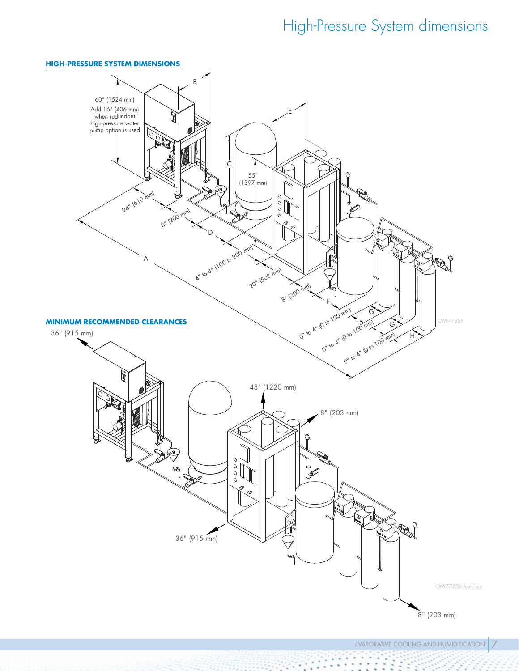## High-Pressure System dimensions

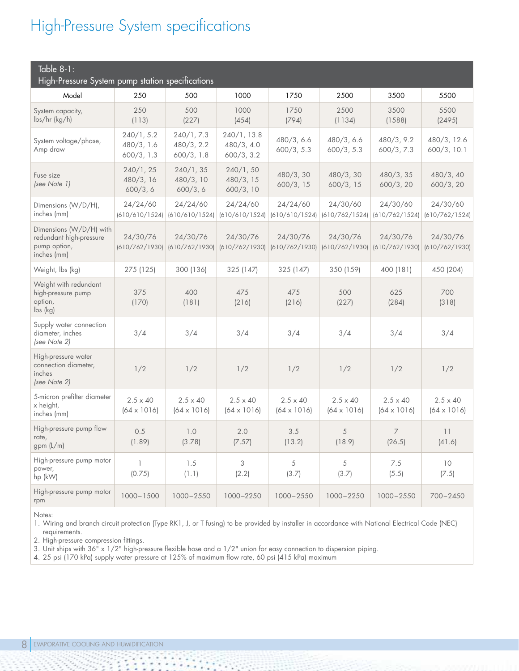## High-Pressure System specifications

| Table $8-1$ :<br>High-Pressure System pump station specifications                 |                                        |                                        |                                         |                                       |                                       |                                       |                                       |  |  |  |  |
|-----------------------------------------------------------------------------------|----------------------------------------|----------------------------------------|-----------------------------------------|---------------------------------------|---------------------------------------|---------------------------------------|---------------------------------------|--|--|--|--|
| Model                                                                             | 250                                    | 500                                    | 1000                                    | 1750                                  | 2500                                  | 3500                                  | 5500                                  |  |  |  |  |
| System capacity,<br>lbs/hr (kg/h)                                                 | 250<br>(113)                           | 500<br>(227)                           | 1000<br>(454)                           | 1750<br>(794)                         | 2500<br>(1134)                        | 3500<br>(1588)                        | 5500<br>(2495)                        |  |  |  |  |
| System voltage/phase,<br>Amp draw                                                 | 240/1, 5.2<br>480/3, 1.6<br>600/3, 1.3 | 240/1, 7.3<br>480/3, 2.2<br>600/3, 1.8 | 240/1, 13.8<br>480/3, 4.0<br>600/3, 3.2 | 480/3, 6.6<br>600/3, 5.3              | 480/3, 6.6<br>600/3, 5.3              | 480/3, 9.2<br>600/3, 7.3              | 480/3, 12.6<br>600/3, 10.1            |  |  |  |  |
| Fuse size<br>(see Note 1)                                                         | 240/1, 25<br>480/3, 16<br>600/3, 6     | 240/1, 35<br>480/3, 10<br>600/3, 6     | 240/1, 50<br>480/3, 15<br>600/3, 10     | 480/3, 30<br>600/3, 15                | 480/3, 30<br>600/3, 15                | 480/3, 35<br>600/3, 20                | 480/3, 40<br>600/3, 20                |  |  |  |  |
| Dimensions (W/D/H),<br>inches (mm)                                                | 24/24/60<br>(610/610/1524)             | 24/24/60<br>(610/610/1524)             | 24/24/60<br>(610/610/1524)              | 24/24/60<br>(610/610/1524)            | 24/30/60<br>(610/762/1524)            | 24/30/60<br>(610/762/1524)            | 24/30/60<br>(610/762/1524)            |  |  |  |  |
| Dimensions (W/D/H) with<br>redundant high-pressure<br>pump option,<br>inches (mm) | 24/30/76<br>(610/762/1930)             | 24/30/76<br>(610/762/1930)             | 24/30/76<br>(610/762/1930)              | 24/30/76<br>(610/762/1930)            | 24/30/76<br>(610/762/1930)            | 24/30/76<br>(610/762/1930)            | 24/30/76<br>(610/762/1930)            |  |  |  |  |
| Weight, Ibs (kg)                                                                  | 275 (125)                              | 300 (136)                              | 325 (147)                               | 325 (147)                             | 350 (159)                             | 400 (181)                             | 450 (204)                             |  |  |  |  |
| Weight with redundant<br>high-pressure pump<br>option,<br>lbs (kg)                | 375<br>(170)                           | 400<br>(181)                           | 475<br>(216)                            | 475<br>(216)                          | 500<br>(227)                          | 625<br>(284)                          | 700<br>(318)                          |  |  |  |  |
| Supply water connection<br>diameter, inches<br>(see Note 2)                       | 3/4                                    | 3/4                                    | 3/4                                     | 3/4                                   | 3/4                                   | 3/4                                   | 3/4                                   |  |  |  |  |
| High-pressure water<br>connection diameter,<br>inches<br>(see Note 2)             | 1/2                                    | 1/2                                    | 1/2                                     | 1/2                                   | 1/2                                   | 1/2                                   | 1/2                                   |  |  |  |  |
| 5-micron prefilter diameter<br>x height,<br>inches (mm)                           | $2.5 \times 40$<br>$(64 \times 1016)$  | $2.5 \times 40$<br>$(64 \times 1016)$  | $2.5 \times 40$<br>$(64 \times 1016)$   | $2.5 \times 40$<br>$(64 \times 1016)$ | $2.5 \times 40$<br>$(64 \times 1016)$ | $2.5 \times 40$<br>$(64 \times 1016)$ | $2.5 \times 40$<br>$(64 \times 1016)$ |  |  |  |  |
| High-pressure pump flow<br>rate,<br>gpm (L/m)                                     | 0.5<br>(1.89)                          | 1.0<br>(3.78)                          | 2.0<br>(7.57)                           | 3.5<br>(13.2)                         | 5<br>(18.9)                           | 7<br>(26.5)                           | 11<br>(41.6)                          |  |  |  |  |
| High-pressure pump motor<br>power,<br>hp (kW)                                     | $\mathbf{1}$<br>(0.75)                 | 1.5<br>(1.1)                           | 3<br>(2.2)                              | 5<br>(3.7)                            | 5<br>(3.7)                            | $7.5\,$<br>(5.5)                      | 10<br>(7.5)                           |  |  |  |  |
| High-pressure pump motor<br>rpm                                                   | $1000 - 1500$                          | 1000-2550                              | 1000-2250                               | $1000 - 2550$                         | $1000 - 2250$                         | $1000 - 2550$                         | $700 - 2450$                          |  |  |  |  |

Notes:

1. Wiring and branch circuit protection (Type RK1, J, or T fusing) to be provided by installer in accordance with National Electrical Code (NEC) requirements.

2. High-pressure compression fittings.

3. Unit ships with 36<sup>"</sup> x 1/2" high-pressure flexible hose and a 1/2" union for easy connection to dispersion piping.

4. 25 psi (170 kPa) supply water pressure at 125% of maximum flow rate, 60 psi (415 kPa) maximum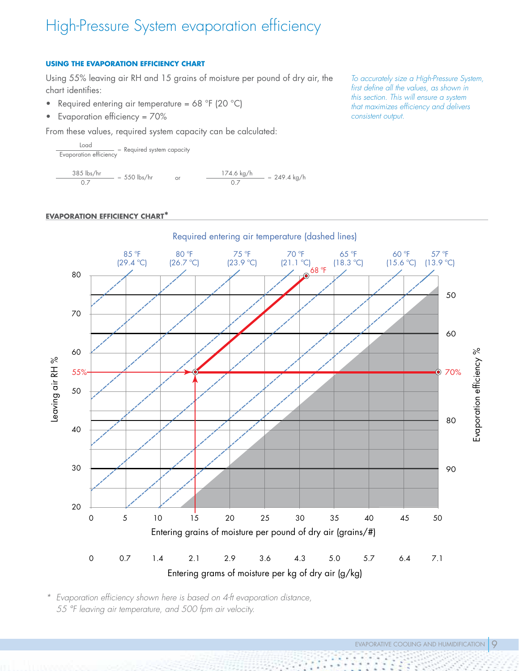## High-Pressure System evaporation efficiency

### **USING THE EVAPORATION EFFICIENCY CHART**

Using 55% leaving air RH and 15 grains of moisture per pound of dry air, the chart identifies:

- Required entering air temperature =  $68 °F$  (20 °C)
- Evaporation efficiency = 70%

From these values, required system capacity can be calculated:

Load Evaporation efficiency = Required system capacity 385 lbs/hr  $\frac{5 \text{ lbs/hr}}{0.7}$  = 550 lbs/hr or  $\frac{174.6 \text{ kg/h}}{0.7}$  $- = 249.4$  kg/h

### **EVAPORATION EFFICIENCY CHART\***

Required entering air temperature (dashed lines) 57 ºF 85 ºF 80 ºF 75 ºF 70 ºF 65 ºF 60 ºF (18.3 ºC) (13.9 ºC) (29.4 ºC) (26.7 ºC) (23.9 ºC) (21.1 ºC)  $(15.6 °C)$ 68 ºF 80  $\odot$ 50 70 60 60 Evaporation efficiency % Evaporation efficiency % Leaving air RH % Leaving air RH % 55%  $\hat{\bullet}$ 70% 50 80 40 30 90 20 0 5 10 15 20 25 30 35 40 45 50 Entering grains of moisture per pound of dry air (grains/#) 0 0.7 1.4 2.1 2.9 3.6 4.3 5.0 5.7 6.4 7.1 Entering grams of moisture per kg of dry air (g/kg)

*\* Evaporation efficiency shown here is based on 4-ft evaporation distance, 55 °F leaving air temperature, and 500 fpm air velocity.*

*To accurately size a High-Pressure System, first define all the values, as shown in this section. This will ensure a system that maximizes efficiency and delivers consistent output.*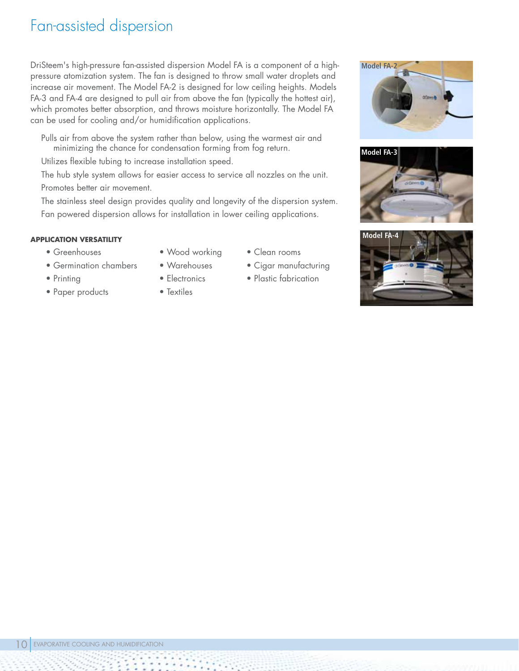### Fan-assisted dispersion

DriSteem's high-pressure fan-assisted dispersion Model FA is a component of a highpressure atomization system. The fan is designed to throw small water droplets and increase air movement. The Model FA-2 is designed for low ceiling heights. Models FA-3 and FA-4 are designed to pull air from above the fan (typically the hottest air), which promotes better absorption, and throws moisture horizontally. The Model FA can be used for cooling and/or humidification applications.

Pulls air from above the system rather than below, using the warmest air and minimizing the chance for condensation forming from fog return.

Utilizes flexible tubing to increase installation speed.

The hub style system allows for easier access to service all nozzles on the unit. Promotes better air movement.

The stainless steel design provides quality and longevity of the dispersion system. Fan powered dispersion allows for installation in lower ceiling applications.

### **Model FA-4 APPLICATION VERSATILITY**

- Greenhouses
- Germination chambers
- Printing
- Paper products
- Wood working • Warehouses
- Electronics
- Textiles
- Clean rooms
- Cigar manufacturing
- Plastic fabrication





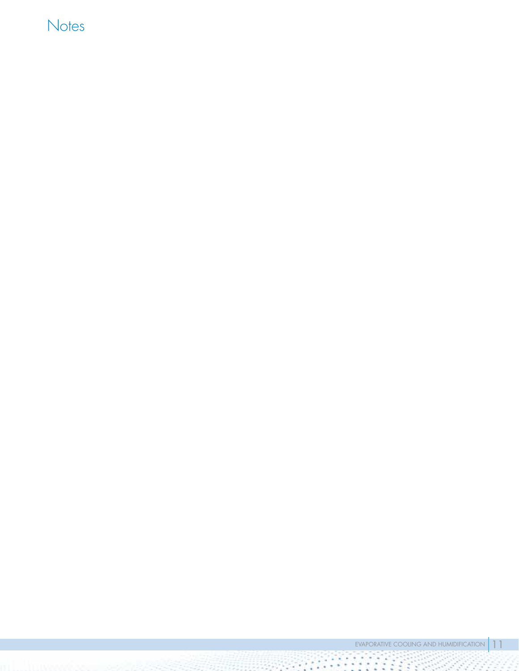## **Notes**

 $\mathcal{L}(\mathcal{L})$